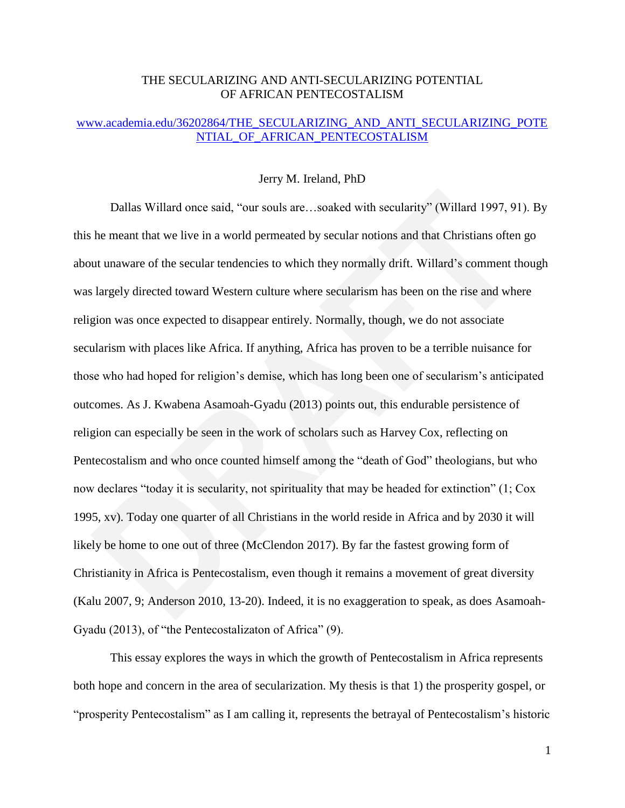# THE SECULARIZING AND ANTI-SECULARIZING POTENTIAL OF AFRICAN PENTECOSTALISM

## [www.academia.edu/36202864/THE\\_SECULARIZING\\_AND\\_ANTI\\_SECULARIZING\\_POTE](http://www.academia.edu/36202864/THE_SECULARIZING_AND_ANTI_SECULARIZING_POTENTIAL_OF_AFRICAN_PENTECOSTALISM) [NTIAL\\_OF\\_AFRICAN\\_PENTECOSTALISM](http://www.academia.edu/36202864/THE_SECULARIZING_AND_ANTI_SECULARIZING_POTENTIAL_OF_AFRICAN_PENTECOSTALISM)

## Jerry M. Ireland, PhD

Dallas Willard once said, "our souls are...soaked with secularity" (Willard 1997, 91). By this he meant that we live in a world permeated by secular notions and that Christians often go about unaware of the secular tendencies to which they normally drift. Willard's comment though was largely directed toward Western culture where secularism has been on the rise and where religion was once expected to disappear entirely. Normally, though, we do not associate secularism with places like Africa. If anything, Africa has proven to be a terrible nuisance for those who had hoped for religion's demise, which has long been one of secularism's anticipated outcomes. As J. Kwabena Asamoah-Gyadu (2013) points out, this endurable persistence of religion can especially be seen in the work of scholars such as Harvey Cox, reflecting on Pentecostalism and who once counted himself among the "death of God" theologians, but who now declares "today it is secularity, not spirituality that may be headed for extinction"  $(1; \text{Cox})$ 1995, xv). Today one quarter of all Christians in the world reside in Africa and by 2030 it will likely be home to one out of three (McClendon 2017). By far the fastest growing form of Christianity in Africa is Pentecostalism, even though it remains a movement of great diversity (Kalu 2007, 9; Anderson 2010, 13-20). Indeed, it is no exaggeration to speak, as does Asamoah-Gyadu (2013), of "the Pentecostalizaton of Africa"  $(9)$ .

This essay explores the ways in which the growth of Pentecostalism in Africa represents both hope and concern in the area of secularization. My thesis is that 1) the prosperity gospel, or ―prosperity Pentecostalism‖ as I am calling it, represents the betrayal of Pentecostalism's historic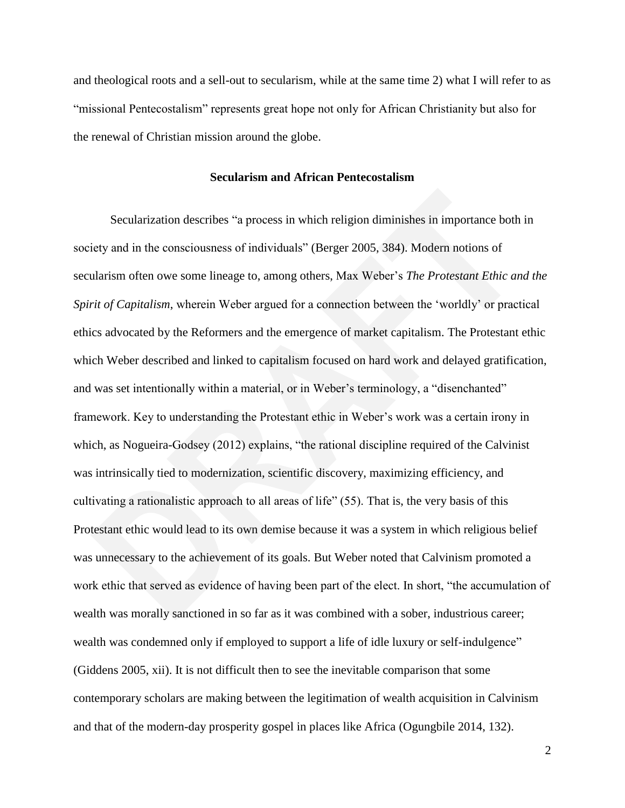and theological roots and a sell-out to secularism, while at the same time 2) what I will refer to as "missional Pentecostalism" represents great hope not only for African Christianity but also for the renewal of Christian mission around the globe.

## **Secularism and African Pentecostalism**

Secularization describes "a process in which religion diminishes in importance both in society and in the consciousness of individuals" (Berger 2005, 384). Modern notions of secularism often owe some lineage to, among others, Max Weber's *The Protestant Ethic and the Spirit of Capitalism*, wherein Weber argued for a connection between the 'worldly' or practical ethics advocated by the Reformers and the emergence of market capitalism. The Protestant ethic which Weber described and linked to capitalism focused on hard work and delayed gratification, and was set intentionally within a material, or in Weber's terminology, a "disenchanted" framework. Key to understanding the Protestant ethic in Weber's work was a certain irony in which, as Nogueira-Godsey  $(2012)$  explains, "the rational discipline required of the Calvinist was intrinsically tied to modernization, scientific discovery, maximizing efficiency, and cultivating a rationalistic approach to all areas of life"  $(55)$ . That is, the very basis of this Protestant ethic would lead to its own demise because it was a system in which religious belief was unnecessary to the achievement of its goals. But Weber noted that Calvinism promoted a work ethic that served as evidence of having been part of the elect. In short, "the accumulation of wealth was morally sanctioned in so far as it was combined with a sober, industrious career; wealth was condemned only if employed to support a life of idle luxury or self-indulgence" (Giddens 2005, xii). It is not difficult then to see the inevitable comparison that some contemporary scholars are making between the legitimation of wealth acquisition in Calvinism and that of the modern-day prosperity gospel in places like Africa (Ogungbile 2014, 132).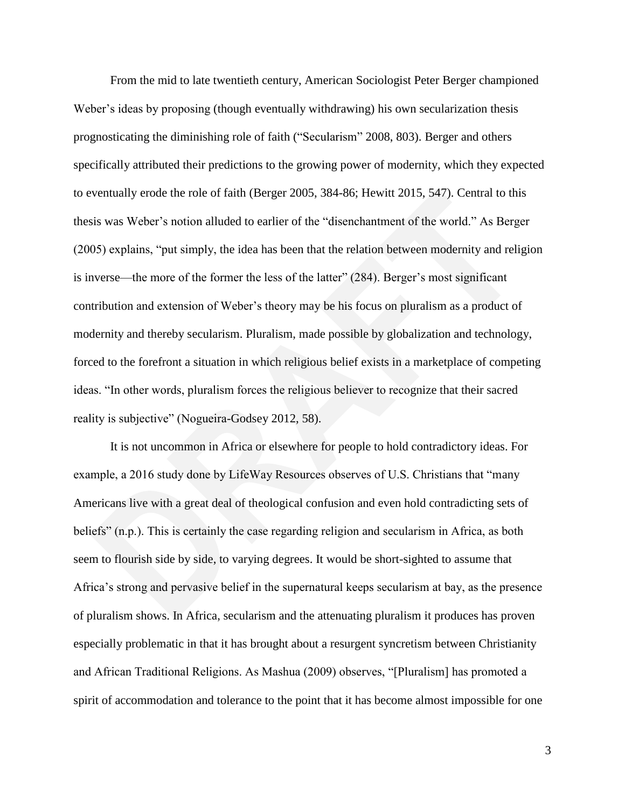From the mid to late twentieth century, American Sociologist Peter Berger championed Weber's ideas by proposing (though eventually withdrawing) his own secularization thesis prognosticating the diminishing role of faith ("Secularism" 2008, 803). Berger and others specifically attributed their predictions to the growing power of modernity, which they expected to eventually erode the role of faith (Berger 2005, 384-86; Hewitt 2015, 547). Central to this thesis was Weber's notion alluded to earlier of the "disenchantment of the world." As Berger (2005) explains, "put simply, the idea has been that the relation between modernity and religion is inverse—the more of the former the less of the latter"  $(284)$ . Berger's most significant contribution and extension of Weber's theory may be his focus on pluralism as a product of modernity and thereby secularism. Pluralism, made possible by globalization and technology, forced to the forefront a situation in which religious belief exists in a marketplace of competing ideas. "In other words, pluralism forces the religious believer to recognize that their sacred reality is subjective" (Nogueira-Godsey 2012, 58).

It is not uncommon in Africa or elsewhere for people to hold contradictory ideas. For example, a 2016 study done by LifeWay Resources observes of U.S. Christians that "many Americans live with a great deal of theological confusion and even hold contradicting sets of beliefs" (n.p.). This is certainly the case regarding religion and secularism in Africa, as both seem to flourish side by side, to varying degrees. It would be short-sighted to assume that Africa's strong and pervasive belief in the supernatural keeps secularism at bay, as the presence of pluralism shows. In Africa, secularism and the attenuating pluralism it produces has proven especially problematic in that it has brought about a resurgent syncretism between Christianity and African Traditional Religions. As Mashua (2009) observes, "[Pluralism] has promoted a spirit of accommodation and tolerance to the point that it has become almost impossible for one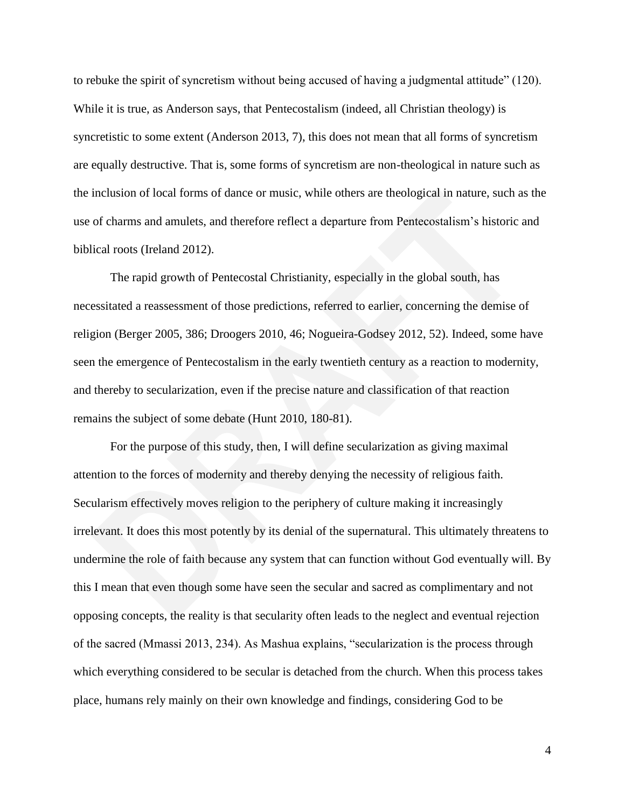to rebuke the spirit of syncretism without being accused of having a judgmental attitude"  $(120)$ . While it is true, as Anderson says, that Pentecostalism (indeed, all Christian theology) is syncretistic to some extent (Anderson 2013, 7), this does not mean that all forms of syncretism are equally destructive. That is, some forms of syncretism are non-theological in nature such as the inclusion of local forms of dance or music, while others are theological in nature, such as the use of charms and amulets, and therefore reflect a departure from Pentecostalism's historic and biblical roots (Ireland 2012).

The rapid growth of Pentecostal Christianity, especially in the global south, has necessitated a reassessment of those predictions, referred to earlier, concerning the demise of religion (Berger 2005, 386; Droogers 2010, 46; Nogueira-Godsey 2012, 52). Indeed, some have seen the emergence of Pentecostalism in the early twentieth century as a reaction to modernity, and thereby to secularization, even if the precise nature and classification of that reaction remains the subject of some debate (Hunt 2010, 180-81).

For the purpose of this study, then, I will define secularization as giving maximal attention to the forces of modernity and thereby denying the necessity of religious faith. Secularism effectively moves religion to the periphery of culture making it increasingly irrelevant. It does this most potently by its denial of the supernatural. This ultimately threatens to undermine the role of faith because any system that can function without God eventually will. By this I mean that even though some have seen the secular and sacred as complimentary and not opposing concepts, the reality is that secularity often leads to the neglect and eventual rejection of the sacred (Mmassi 2013, 234). As Mashua explains, "secularization is the process through which everything considered to be secular is detached from the church. When this process takes place, humans rely mainly on their own knowledge and findings, considering God to be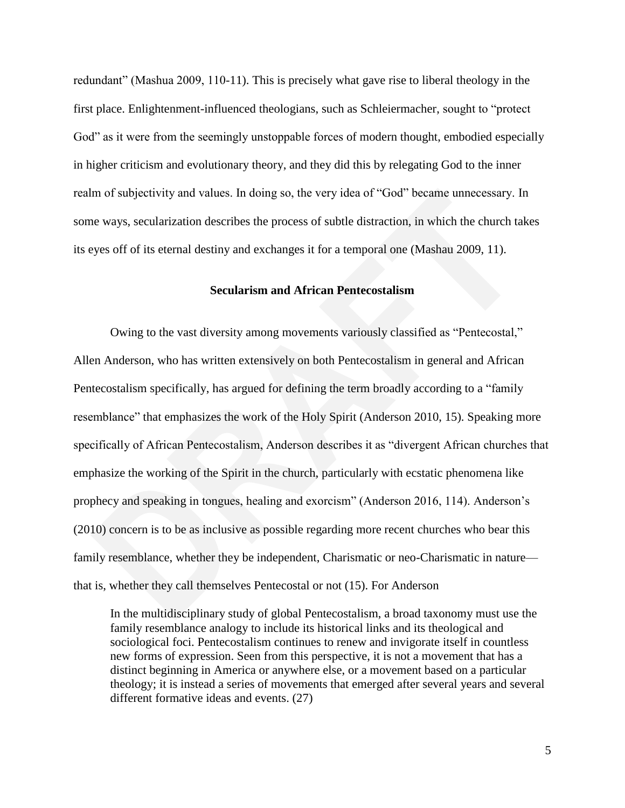redundant" (Mashua 2009, 110-11). This is precisely what gave rise to liberal theology in the first place. Enlightenment-influenced theologians, such as Schleiermacher, sought to "protect" God" as it were from the seemingly unstoppable forces of modern thought, embodied especially in higher criticism and evolutionary theory, and they did this by relegating God to the inner realm of subjectivity and values. In doing so, the very idea of "God" became unnecessary. In some ways, secularization describes the process of subtle distraction, in which the church takes its eyes off of its eternal destiny and exchanges it for a temporal one (Mashau 2009, 11).

#### **Secularism and African Pentecostalism**

Owing to the vast diversity among movements variously classified as "Pentecostal," Allen Anderson, who has written extensively on both Pentecostalism in general and African Pentecostalism specifically, has argued for defining the term broadly according to a "family" resemblance" that emphasizes the work of the Holy Spirit (Anderson 2010, 15). Speaking more specifically of African Pentecostalism, Anderson describes it as "divergent African churches that emphasize the working of the Spirit in the church, particularly with ecstatic phenomena like prophecy and speaking in tongues, healing and exorcism" (Anderson 2016, 114). Anderson's (2010) concern is to be as inclusive as possible regarding more recent churches who bear this family resemblance, whether they be independent, Charismatic or neo-Charismatic in nature that is, whether they call themselves Pentecostal or not (15). For Anderson

In the multidisciplinary study of global Pentecostalism, a broad taxonomy must use the family resemblance analogy to include its historical links and its theological and sociological foci. Pentecostalism continues to renew and invigorate itself in countless new forms of expression. Seen from this perspective, it is not a movement that has a distinct beginning in America or anywhere else, or a movement based on a particular theology; it is instead a series of movements that emerged after several years and several different formative ideas and events. (27)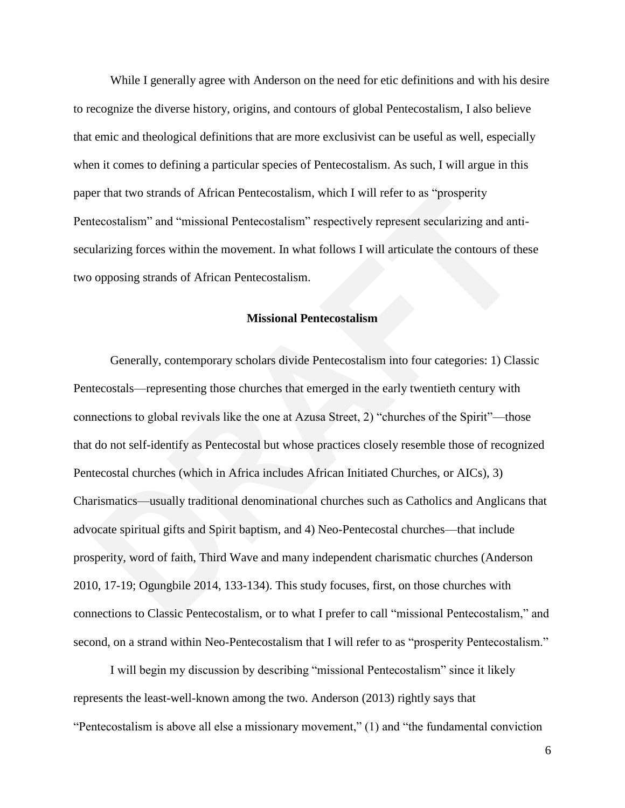While I generally agree with Anderson on the need for etic definitions and with his desire to recognize the diverse history, origins, and contours of global Pentecostalism, I also believe that emic and theological definitions that are more exclusivist can be useful as well, especially when it comes to defining a particular species of Pentecostalism. As such, I will argue in this paper that two strands of African Pentecostalism, which I will refer to as "prosperity" Pentecostalism" and "missional Pentecostalism" respectively represent secularizing and antisecularizing forces within the movement. In what follows I will articulate the contours of these two opposing strands of African Pentecostalism.

## **Missional Pentecostalism**

Generally, contemporary scholars divide Pentecostalism into four categories: 1) Classic Pentecostals—representing those churches that emerged in the early twentieth century with connections to global revivals like the one at Azusa Street,  $2$ ) "churches of the Spirit"—those that do not self-identify as Pentecostal but whose practices closely resemble those of recognized Pentecostal churches (which in Africa includes African Initiated Churches, or AICs), 3) Charismatics—usually traditional denominational churches such as Catholics and Anglicans that advocate spiritual gifts and Spirit baptism, and 4) Neo-Pentecostal churches—that include prosperity, word of faith, Third Wave and many independent charismatic churches (Anderson 2010, 17-19; Ogungbile 2014, 133-134). This study focuses, first, on those churches with connections to Classic Pentecostalism, or to what I prefer to call "missional Pentecostalism," and second, on a strand within Neo-Pentecostalism that I will refer to as "prosperity Pentecostalism."

I will begin my discussion by describing "missional Pentecostalism" since it likely represents the least-well-known among the two. Anderson (2013) rightly says that "Pentecostalism is above all else a missionary movement,"  $(1)$  and "the fundamental conviction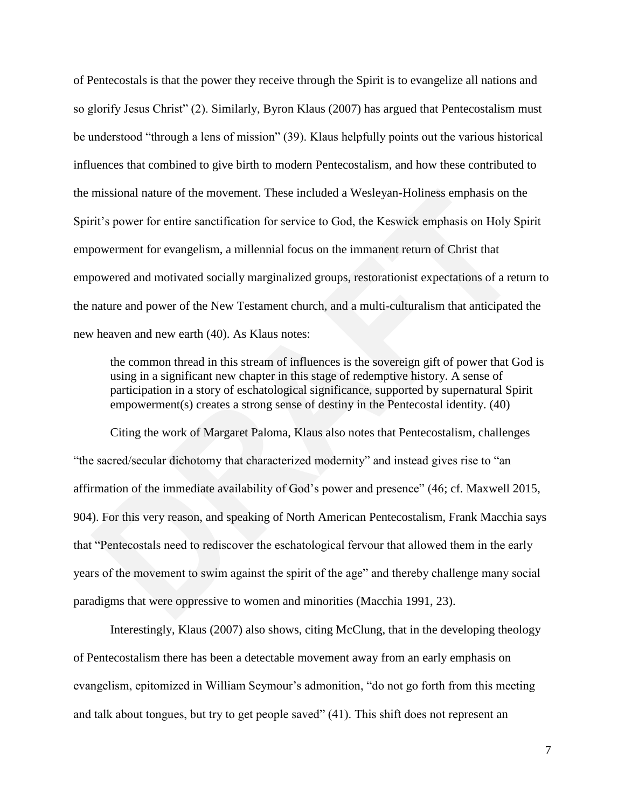of Pentecostals is that the power they receive through the Spirit is to evangelize all nations and so glorify Jesus Christ" (2). Similarly, Byron Klaus (2007) has argued that Pentecostalism must be understood "through a lens of mission" (39). Klaus helpfully points out the various historical influences that combined to give birth to modern Pentecostalism, and how these contributed to the missional nature of the movement. These included a Wesleyan-Holiness emphasis on the Spirit's power for entire sanctification for service to God, the Keswick emphasis on Holy Spirit empowerment for evangelism, a millennial focus on the immanent return of Christ that empowered and motivated socially marginalized groups, restorationist expectations of a return to the nature and power of the New Testament church, and a multi-culturalism that anticipated the new heaven and new earth (40). As Klaus notes:

the common thread in this stream of influences is the sovereign gift of power that God is using in a significant new chapter in this stage of redemptive history. A sense of participation in a story of eschatological significance, supported by supernatural Spirit empowerment(s) creates a strong sense of destiny in the Pentecostal identity. (40)

Citing the work of Margaret Paloma, Klaus also notes that Pentecostalism, challenges "the sacred/secular dichotomy that characterized modernity" and instead gives rise to "an affirmation of the immediate availability of God's power and presence" (46; cf. Maxwell 2015, 904). For this very reason, and speaking of North American Pentecostalism, Frank Macchia says that "Pentecostals need to rediscover the eschatological fervour that allowed them in the early years of the movement to swim against the spirit of the age" and thereby challenge many social paradigms that were oppressive to women and minorities (Macchia 1991, 23).

Interestingly, Klaus (2007) also shows, citing McClung, that in the developing theology of Pentecostalism there has been a detectable movement away from an early emphasis on evangelism, epitomized in William Seymour's admonition, "do not go forth from this meeting and talk about tongues, but try to get people saved" (41). This shift does not represent an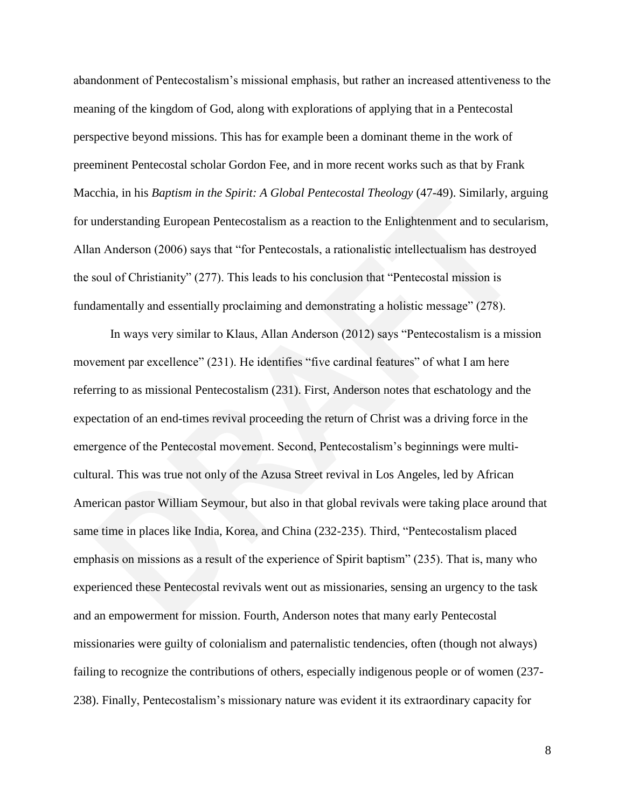abandonment of Pentecostalism's missional emphasis, but rather an increased attentiveness to the meaning of the kingdom of God, along with explorations of applying that in a Pentecostal perspective beyond missions. This has for example been a dominant theme in the work of preeminent Pentecostal scholar Gordon Fee, and in more recent works such as that by Frank Macchia, in his *Baptism in the Spirit: A Global Pentecostal Theology* (47-49). Similarly, arguing for understanding European Pentecostalism as a reaction to the Enlightenment and to secularism, Allan Anderson (2006) says that "for Pentecostals, a rationalistic intellectualism has destroyed the soul of Christianity"  $(277)$ . This leads to his conclusion that "Pentecostal mission is fundamentally and essentially proclaiming and demonstrating a holistic message"  $(278)$ .

In ways very similar to Klaus, Allan Anderson (2012) says "Pentecostalism is a mission movement par excellence" (231). He identifies "five cardinal features" of what I am here referring to as missional Pentecostalism (231). First, Anderson notes that eschatology and the expectation of an end-times revival proceeding the return of Christ was a driving force in the emergence of the Pentecostal movement. Second, Pentecostalism's beginnings were multicultural. This was true not only of the Azusa Street revival in Los Angeles, led by African American pastor William Seymour, but also in that global revivals were taking place around that same time in places like India, Korea, and China (232-235). Third, "Pentecostalism placed emphasis on missions as a result of the experience of Spirit baptism" (235). That is, many who experienced these Pentecostal revivals went out as missionaries, sensing an urgency to the task and an empowerment for mission. Fourth, Anderson notes that many early Pentecostal missionaries were guilty of colonialism and paternalistic tendencies, often (though not always) failing to recognize the contributions of others, especially indigenous people or of women (237- 238). Finally, Pentecostalism's missionary nature was evident it its extraordinary capacity for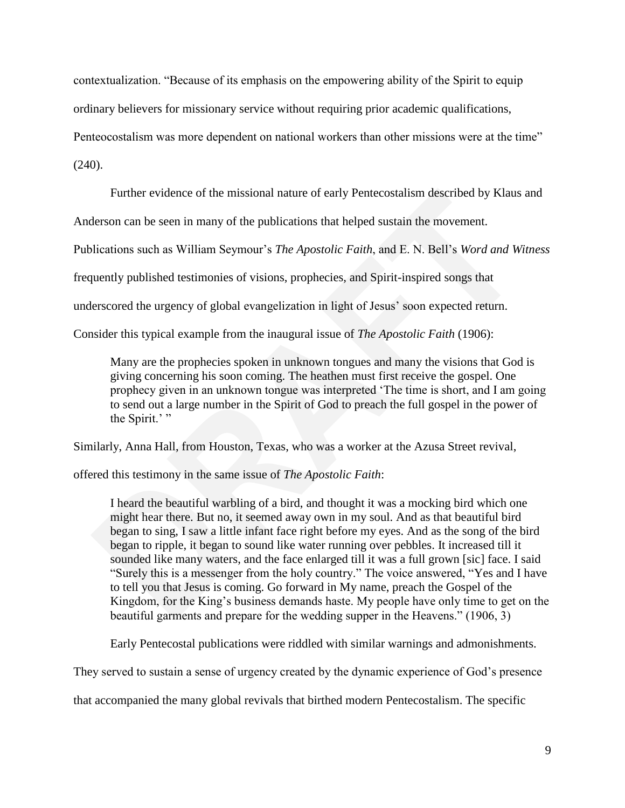contextualization. "Because of its emphasis on the empowering ability of the Spirit to equip

ordinary believers for missionary service without requiring prior academic qualifications,

Penteocostalism was more dependent on national workers than other missions were at the time"

(240).

Further evidence of the missional nature of early Pentecostalism described by Klaus and

Anderson can be seen in many of the publications that helped sustain the movement.

Publications such as William Seymour's *The Apostolic Faith*, and E. N. Bell's *Word and Witness* 

frequently published testimonies of visions, prophecies, and Spirit-inspired songs that

underscored the urgency of global evangelization in light of Jesus' soon expected return.

Consider this typical example from the inaugural issue of *The Apostolic Faith* (1906):

Many are the prophecies spoken in unknown tongues and many the visions that God is giving concerning his soon coming. The heathen must first receive the gospel. One prophecy given in an unknown tongue was interpreted 'The time is short, and I am going to send out a large number in the Spirit of God to preach the full gospel in the power of the Spirit.' "

Similarly, Anna Hall, from Houston, Texas, who was a worker at the Azusa Street revival,

offered this testimony in the same issue of *The Apostolic Faith*:

I heard the beautiful warbling of a bird, and thought it was a mocking bird which one might hear there. But no, it seemed away own in my soul. And as that beautiful bird began to sing, I saw a little infant face right before my eyes. And as the song of the bird began to ripple, it began to sound like water running over pebbles. It increased till it sounded like many waters, and the face enlarged till it was a full grown [sic] face. I said "Surely this is a messenger from the holy country." The voice answered, "Yes and I have to tell you that Jesus is coming. Go forward in My name, preach the Gospel of the Kingdom, for the King's business demands haste. My people have only time to get on the beautiful garments and prepare for the wedding supper in the Heavens." (1906, 3)

Early Pentecostal publications were riddled with similar warnings and admonishments.

They served to sustain a sense of urgency created by the dynamic experience of God's presence

that accompanied the many global revivals that birthed modern Pentecostalism. The specific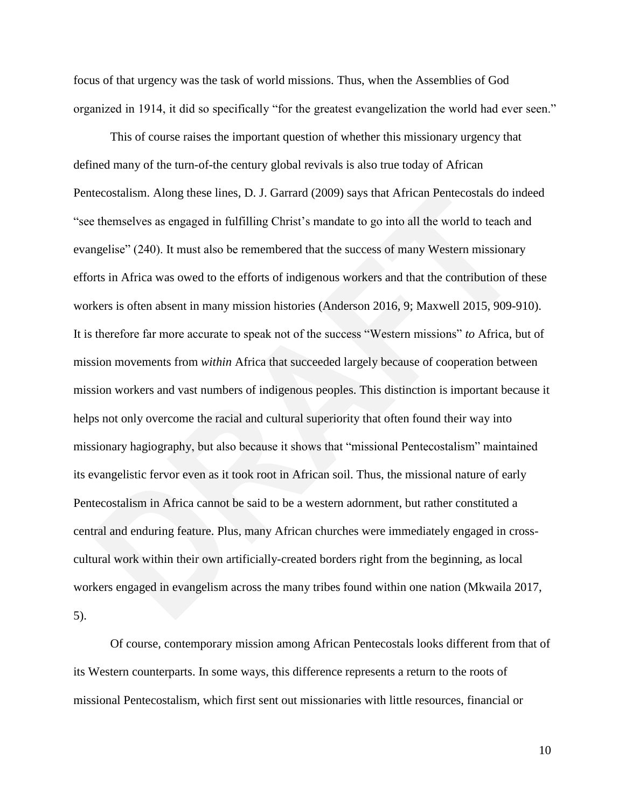focus of that urgency was the task of world missions. Thus, when the Assemblies of God organized in 1914, it did so specifically "for the greatest evangelization the world had ever seen."

This of course raises the important question of whether this missionary urgency that defined many of the turn-of-the century global revivals is also true today of African Pentecostalism. Along these lines, D. J. Garrard (2009) says that African Pentecostals do indeed "see themselves as engaged in fulfilling Christ's mandate to go into all the world to teach and evangelise" (240). It must also be remembered that the success of many Western missionary efforts in Africa was owed to the efforts of indigenous workers and that the contribution of these workers is often absent in many mission histories (Anderson 2016, 9; Maxwell 2015, 909-910). It is therefore far more accurate to speak not of the success "Western missions" to Africa, but of mission movements from *within* Africa that succeeded largely because of cooperation between mission workers and vast numbers of indigenous peoples. This distinction is important because it helps not only overcome the racial and cultural superiority that often found their way into missionary hagiography, but also because it shows that "missional Pentecostalism" maintained its evangelistic fervor even as it took root in African soil. Thus, the missional nature of early Pentecostalism in Africa cannot be said to be a western adornment, but rather constituted a central and enduring feature. Plus, many African churches were immediately engaged in crosscultural work within their own artificially-created borders right from the beginning, as local workers engaged in evangelism across the many tribes found within one nation (Mkwaila 2017, 5).

Of course, contemporary mission among African Pentecostals looks different from that of its Western counterparts. In some ways, this difference represents a return to the roots of missional Pentecostalism, which first sent out missionaries with little resources, financial or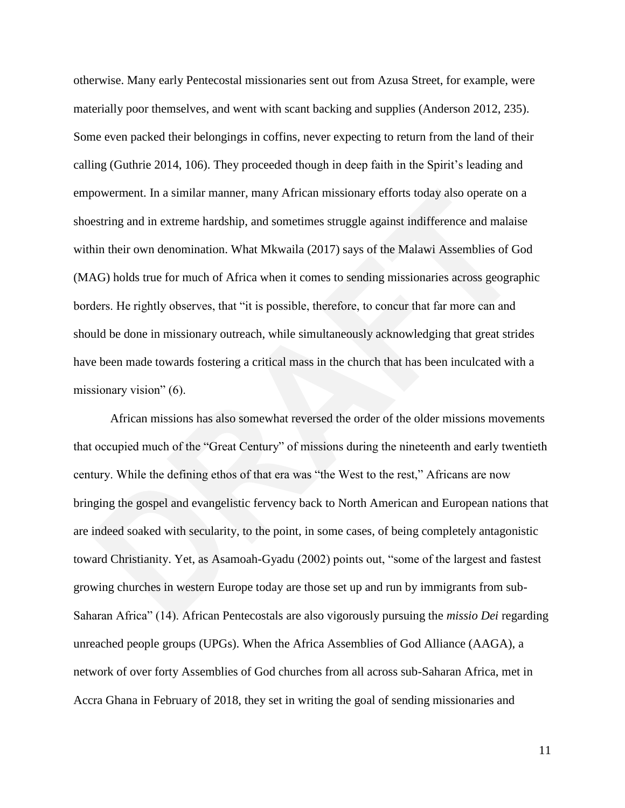otherwise. Many early Pentecostal missionaries sent out from Azusa Street, for example, were materially poor themselves, and went with scant backing and supplies (Anderson 2012, 235). Some even packed their belongings in coffins, never expecting to return from the land of their calling (Guthrie 2014, 106). They proceeded though in deep faith in the Spirit's leading and empowerment. In a similar manner, many African missionary efforts today also operate on a shoestring and in extreme hardship, and sometimes struggle against indifference and malaise within their own denomination. What Mkwaila (2017) says of the Malawi Assemblies of God (MAG) holds true for much of Africa when it comes to sending missionaries across geographic borders. He rightly observes, that "it is possible, therefore, to concur that far more can and should be done in missionary outreach, while simultaneously acknowledging that great strides have been made towards fostering a critical mass in the church that has been inculcated with a missionary vision"  $(6)$ .

African missions has also somewhat reversed the order of the older missions movements that occupied much of the "Great Century" of missions during the nineteenth and early twentieth century. While the defining ethos of that era was "the West to the rest," Africans are now bringing the gospel and evangelistic fervency back to North American and European nations that are indeed soaked with secularity, to the point, in some cases, of being completely antagonistic toward Christianity. Yet, as Asamoah-Gyadu (2002) points out, "some of the largest and fastest growing churches in western Europe today are those set up and run by immigrants from sub-Saharan Africa‖ (14). African Pentecostals are also vigorously pursuing the *missio Dei* regarding unreached people groups (UPGs). When the Africa Assemblies of God Alliance (AAGA), a network of over forty Assemblies of God churches from all across sub-Saharan Africa, met in Accra Ghana in February of 2018, they set in writing the goal of sending missionaries and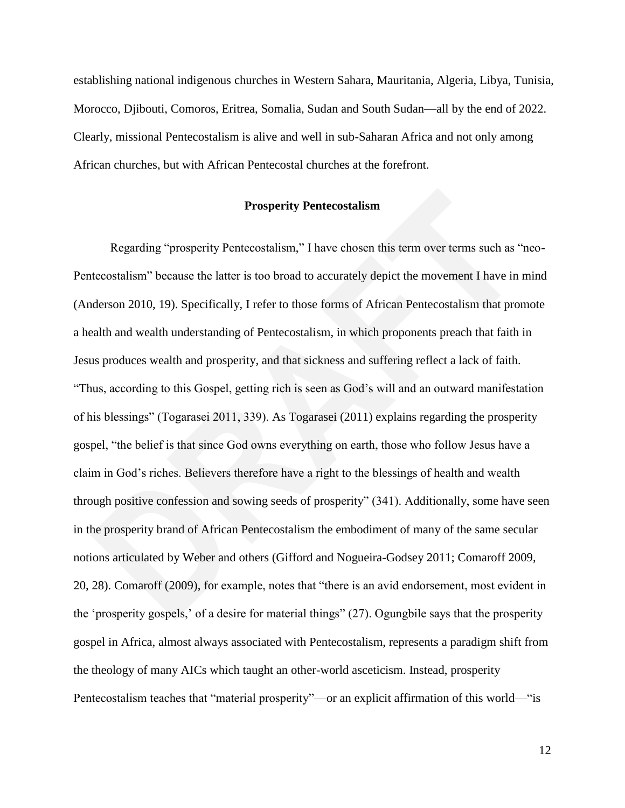establishing national indigenous churches in Western Sahara, Mauritania, Algeria, Libya, Tunisia, Morocco, Djibouti, Comoros, Eritrea, Somalia, Sudan and South Sudan—all by the end of 2022. Clearly, missional Pentecostalism is alive and well in sub-Saharan Africa and not only among African churches, but with African Pentecostal churches at the forefront.

## **Prosperity Pentecostalism**

Regarding "prosperity Pentecostalism," I have chosen this term over terms such as "neo-Pentecostalism" because the latter is too broad to accurately depict the movement I have in mind (Anderson 2010, 19). Specifically, I refer to those forms of African Pentecostalism that promote a health and wealth understanding of Pentecostalism, in which proponents preach that faith in Jesus produces wealth and prosperity, and that sickness and suffering reflect a lack of faith. ―Thus, according to this Gospel, getting rich is seen as God's will and an outward manifestation of his blessings" (Togarasei 2011, 339). As Togarasei (2011) explains regarding the prosperity gospel, "the belief is that since God owns everything on earth, those who follow Jesus have a claim in God's riches. Believers therefore have a right to the blessings of health and wealth through positive confession and sowing seeds of prosperity" (341). Additionally, some have seen in the prosperity brand of African Pentecostalism the embodiment of many of the same secular notions articulated by Weber and others (Gifford and Nogueira-Godsey 2011; Comaroff 2009, 20, 28). Comaroff (2009), for example, notes that "there is an avid endorsement, most evident in the 'prosperity gospels,' of a desire for material things" (27). Ogungbile says that the prosperity gospel in Africa, almost always associated with Pentecostalism, represents a paradigm shift from the theology of many AICs which taught an other-world asceticism. Instead, prosperity Pentecostalism teaches that "material prosperity"—or an explicit affirmation of this world—"is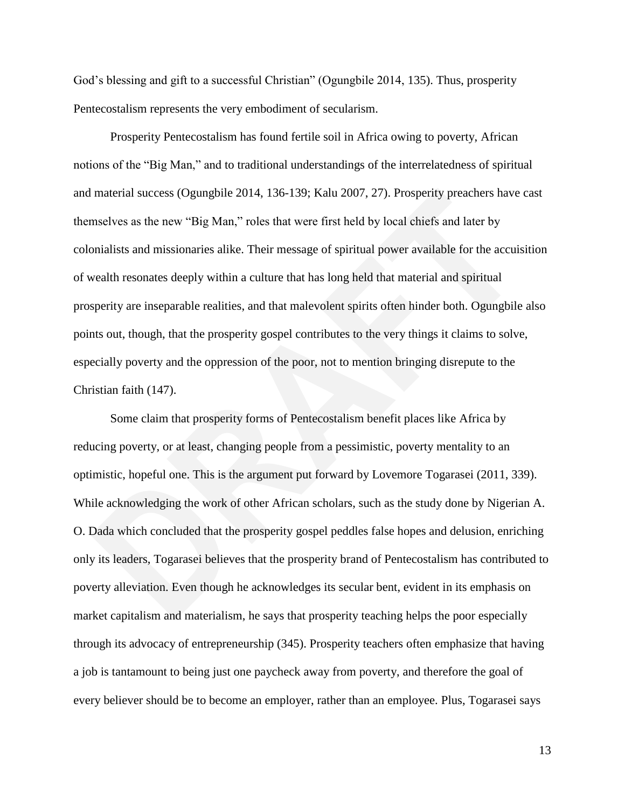God's blessing and gift to a successful Christian" (Ogungbile 2014, 135). Thus, prosperity Pentecostalism represents the very embodiment of secularism.

Prosperity Pentecostalism has found fertile soil in Africa owing to poverty, African notions of the "Big Man," and to traditional understandings of the interrelatedness of spiritual and material success (Ogungbile 2014, 136-139; Kalu 2007, 27). Prosperity preachers have cast themselves as the new "Big Man," roles that were first held by local chiefs and later by colonialists and missionaries alike. Their message of spiritual power available for the accuisition of wealth resonates deeply within a culture that has long held that material and spiritual prosperity are inseparable realities, and that malevolent spirits often hinder both. Ogungbile also points out, though, that the prosperity gospel contributes to the very things it claims to solve, especially poverty and the oppression of the poor, not to mention bringing disrepute to the Christian faith (147).

Some claim that prosperity forms of Pentecostalism benefit places like Africa by reducing poverty, or at least, changing people from a pessimistic, poverty mentality to an optimistic, hopeful one. This is the argument put forward by Lovemore Togarasei (2011, 339). While acknowledging the work of other African scholars, such as the study done by Nigerian A. O. Dada which concluded that the prosperity gospel peddles false hopes and delusion, enriching only its leaders, Togarasei believes that the prosperity brand of Pentecostalism has contributed to poverty alleviation. Even though he acknowledges its secular bent, evident in its emphasis on market capitalism and materialism, he says that prosperity teaching helps the poor especially through its advocacy of entrepreneurship (345). Prosperity teachers often emphasize that having a job is tantamount to being just one paycheck away from poverty, and therefore the goal of every believer should be to become an employer, rather than an employee. Plus, Togarasei says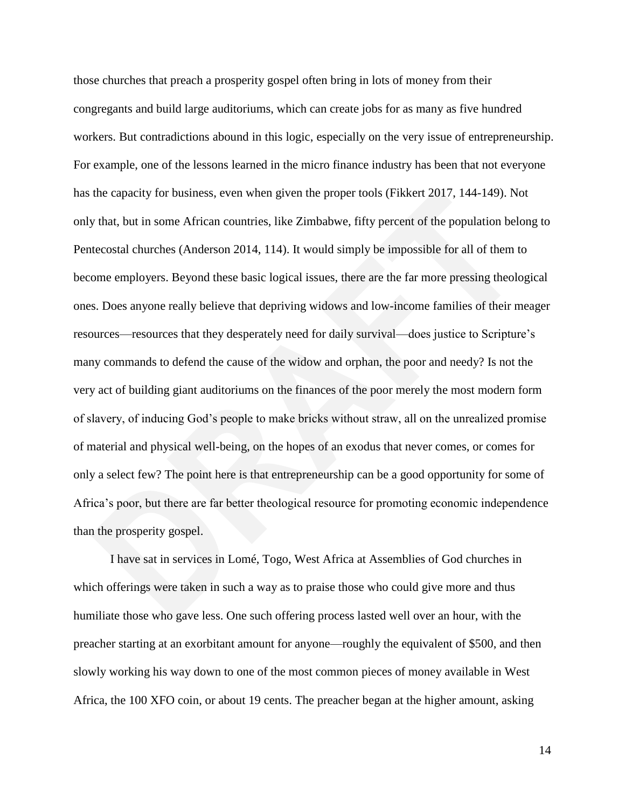those churches that preach a prosperity gospel often bring in lots of money from their congregants and build large auditoriums, which can create jobs for as many as five hundred workers. But contradictions abound in this logic, especially on the very issue of entrepreneurship. For example, one of the lessons learned in the micro finance industry has been that not everyone has the capacity for business, even when given the proper tools (Fikkert 2017, 144-149). Not only that, but in some African countries, like Zimbabwe, fifty percent of the population belong to Pentecostal churches (Anderson 2014, 114). It would simply be impossible for all of them to become employers. Beyond these basic logical issues, there are the far more pressing theological ones. Does anyone really believe that depriving widows and low-income families of their meager resources—resources that they desperately need for daily survival—does justice to Scripture's many commands to defend the cause of the widow and orphan, the poor and needy? Is not the very act of building giant auditoriums on the finances of the poor merely the most modern form of slavery, of inducing God's people to make bricks without straw, all on the unrealized promise of material and physical well-being, on the hopes of an exodus that never comes, or comes for only a select few? The point here is that entrepreneurship can be a good opportunity for some of Africa's poor, but there are far better theological resource for promoting economic independence than the prosperity gospel.

I have sat in services in Lomé, Togo, West Africa at Assemblies of God churches in which offerings were taken in such a way as to praise those who could give more and thus humiliate those who gave less. One such offering process lasted well over an hour, with the preacher starting at an exorbitant amount for anyone—roughly the equivalent of \$500, and then slowly working his way down to one of the most common pieces of money available in West Africa, the 100 XFO coin, or about 19 cents. The preacher began at the higher amount, asking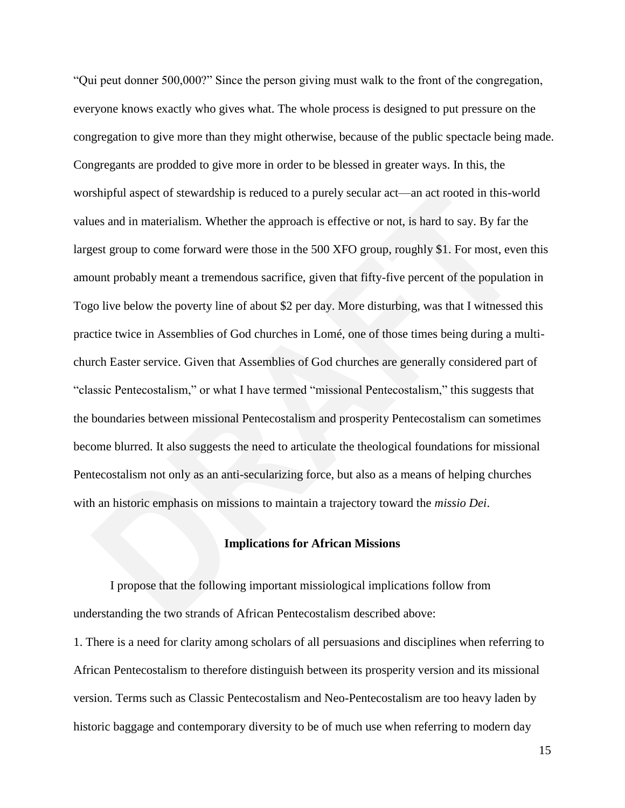"Qui peut donner 500,000?" Since the person giving must walk to the front of the congregation, everyone knows exactly who gives what. The whole process is designed to put pressure on the congregation to give more than they might otherwise, because of the public spectacle being made. Congregants are prodded to give more in order to be blessed in greater ways. In this, the worshipful aspect of stewardship is reduced to a purely secular act—an act rooted in this-world values and in materialism. Whether the approach is effective or not, is hard to say. By far the largest group to come forward were those in the 500 XFO group, roughly \$1. For most, even this amount probably meant a tremendous sacrifice, given that fifty-five percent of the population in Togo live below the poverty line of about \$2 per day. More disturbing, was that I witnessed this practice twice in Assemblies of God churches in Lomé, one of those times being during a multichurch Easter service. Given that Assemblies of God churches are generally considered part of "classic Pentecostalism," or what I have termed "missional Pentecostalism," this suggests that the boundaries between missional Pentecostalism and prosperity Pentecostalism can sometimes become blurred. It also suggests the need to articulate the theological foundations for missional Pentecostalism not only as an anti-secularizing force, but also as a means of helping churches with an historic emphasis on missions to maintain a trajectory toward the *missio Dei*.

## **Implications for African Missions**

I propose that the following important missiological implications follow from understanding the two strands of African Pentecostalism described above:

1. There is a need for clarity among scholars of all persuasions and disciplines when referring to African Pentecostalism to therefore distinguish between its prosperity version and its missional version. Terms such as Classic Pentecostalism and Neo-Pentecostalism are too heavy laden by historic baggage and contemporary diversity to be of much use when referring to modern day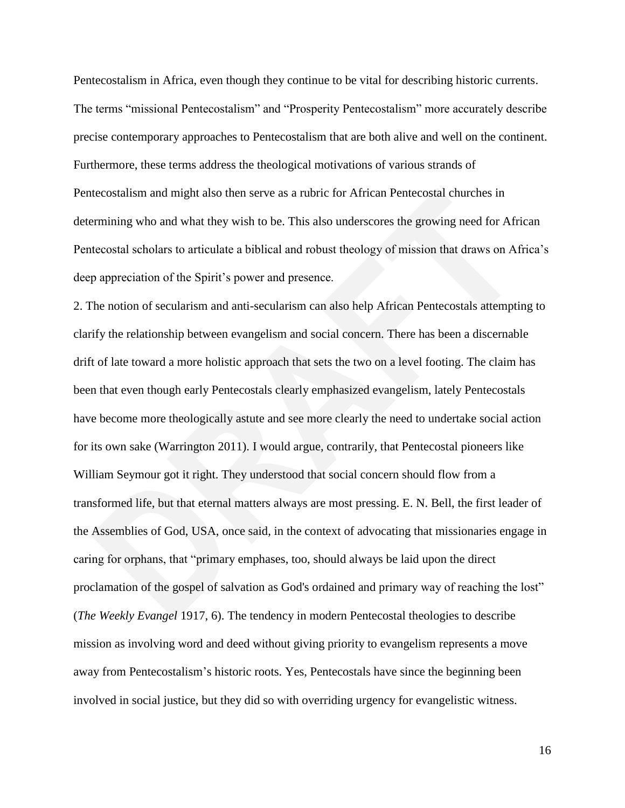Pentecostalism in Africa, even though they continue to be vital for describing historic currents. The terms "missional Pentecostalism" and "Prosperity Pentecostalism" more accurately describe precise contemporary approaches to Pentecostalism that are both alive and well on the continent. Furthermore, these terms address the theological motivations of various strands of Pentecostalism and might also then serve as a rubric for African Pentecostal churches in determining who and what they wish to be. This also underscores the growing need for African Pentecostal scholars to articulate a biblical and robust theology of mission that draws on Africa's deep appreciation of the Spirit's power and presence.

2. The notion of secularism and anti-secularism can also help African Pentecostals attempting to clarify the relationship between evangelism and social concern. There has been a discernable drift of late toward a more holistic approach that sets the two on a level footing. The claim has been that even though early Pentecostals clearly emphasized evangelism, lately Pentecostals have become more theologically astute and see more clearly the need to undertake social action for its own sake (Warrington 2011). I would argue, contrarily, that Pentecostal pioneers like William Seymour got it right. They understood that social concern should flow from a transformed life, but that eternal matters always are most pressing. E. N. Bell, the first leader of the Assemblies of God, USA, once said, in the context of advocating that missionaries engage in caring for orphans, that "primary emphases, too, should always be laid upon the direct proclamation of the gospel of salvation as God's ordained and primary way of reaching the lost" (*The Weekly Evangel* 1917, 6). The tendency in modern Pentecostal theologies to describe mission as involving word and deed without giving priority to evangelism represents a move away from Pentecostalism's historic roots. Yes, Pentecostals have since the beginning been involved in social justice, but they did so with overriding urgency for evangelistic witness.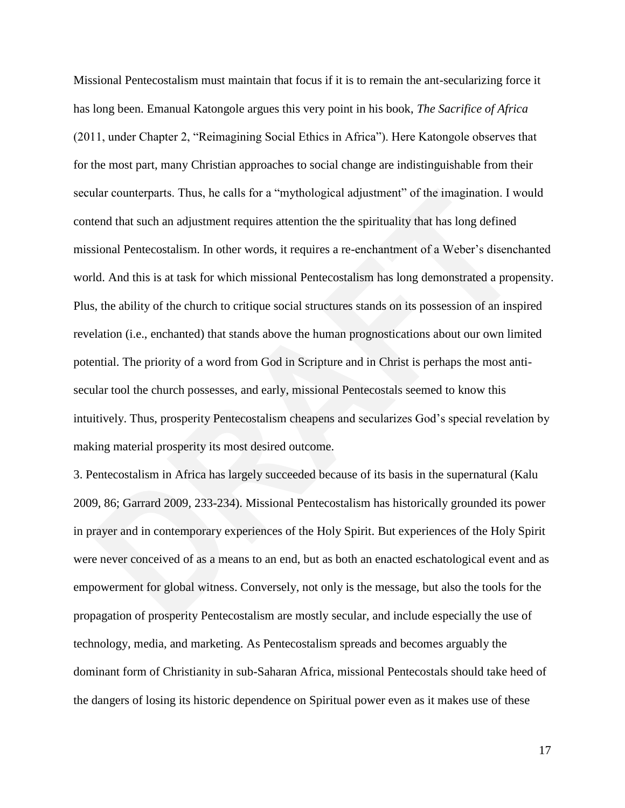Missional Pentecostalism must maintain that focus if it is to remain the ant-secularizing force it has long been. Emanual Katongole argues this very point in his book, *The Sacrifice of Africa*  $(2011,$  under Chapter 2, "Reimagining Social Ethics in Africa"). Here Katongole observes that for the most part, many Christian approaches to social change are indistinguishable from their secular counterparts. Thus, he calls for a "mythological adjustment" of the imagination. I would contend that such an adjustment requires attention the the spirituality that has long defined missional Pentecostalism. In other words, it requires a re-enchantment of a Weber's disenchanted world. And this is at task for which missional Pentecostalism has long demonstrated a propensity. Plus, the ability of the church to critique social structures stands on its possession of an inspired revelation (i.e., enchanted) that stands above the human prognostications about our own limited potential. The priority of a word from God in Scripture and in Christ is perhaps the most antisecular tool the church possesses, and early, missional Pentecostals seemed to know this intuitively. Thus, prosperity Pentecostalism cheapens and secularizes God's special revelation by making material prosperity its most desired outcome.

3. Pentecostalism in Africa has largely succeeded because of its basis in the supernatural (Kalu 2009, 86; Garrard 2009, 233-234). Missional Pentecostalism has historically grounded its power in prayer and in contemporary experiences of the Holy Spirit. But experiences of the Holy Spirit were never conceived of as a means to an end, but as both an enacted eschatological event and as empowerment for global witness. Conversely, not only is the message, but also the tools for the propagation of prosperity Pentecostalism are mostly secular, and include especially the use of technology, media, and marketing. As Pentecostalism spreads and becomes arguably the dominant form of Christianity in sub-Saharan Africa, missional Pentecostals should take heed of the dangers of losing its historic dependence on Spiritual power even as it makes use of these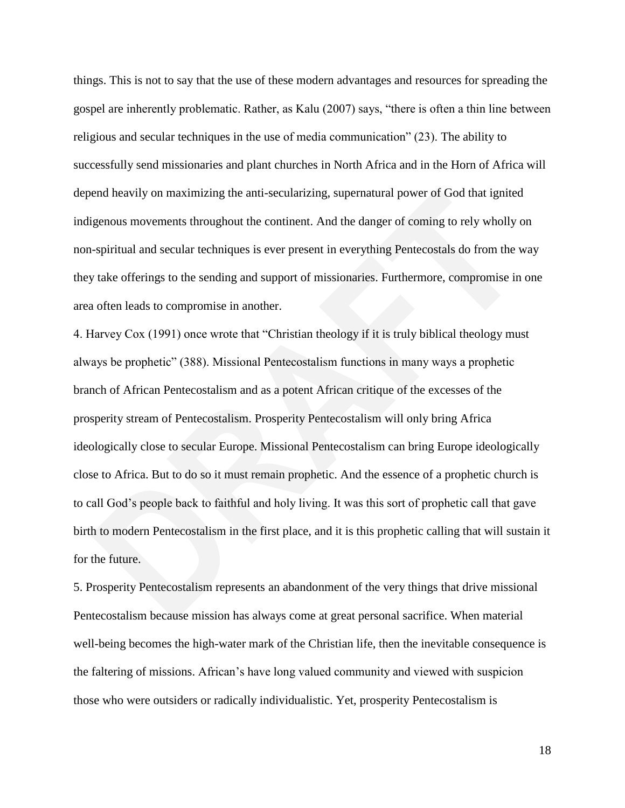things. This is not to say that the use of these modern advantages and resources for spreading the gospel are inherently problematic. Rather, as Kalu (2007) says, "there is often a thin line between religious and secular techniques in the use of media communication‖ (23). The ability to successfully send missionaries and plant churches in North Africa and in the Horn of Africa will depend heavily on maximizing the anti-secularizing, supernatural power of God that ignited indigenous movements throughout the continent. And the danger of coming to rely wholly on non-spiritual and secular techniques is ever present in everything Pentecostals do from the way they take offerings to the sending and support of missionaries. Furthermore, compromise in one area often leads to compromise in another.

4. Harvey Cox (1991) once wrote that "Christian theology if it is truly biblical theology must always be prophetic" (388). Missional Pentecostalism functions in many ways a prophetic branch of African Pentecostalism and as a potent African critique of the excesses of the prosperity stream of Pentecostalism. Prosperity Pentecostalism will only bring Africa ideologically close to secular Europe. Missional Pentecostalism can bring Europe ideologically close to Africa. But to do so it must remain prophetic. And the essence of a prophetic church is to call God's people back to faithful and holy living. It was this sort of prophetic call that gave birth to modern Pentecostalism in the first place, and it is this prophetic calling that will sustain it for the future.

5. Prosperity Pentecostalism represents an abandonment of the very things that drive missional Pentecostalism because mission has always come at great personal sacrifice. When material well-being becomes the high-water mark of the Christian life, then the inevitable consequence is the faltering of missions. African's have long valued community and viewed with suspicion those who were outsiders or radically individualistic. Yet, prosperity Pentecostalism is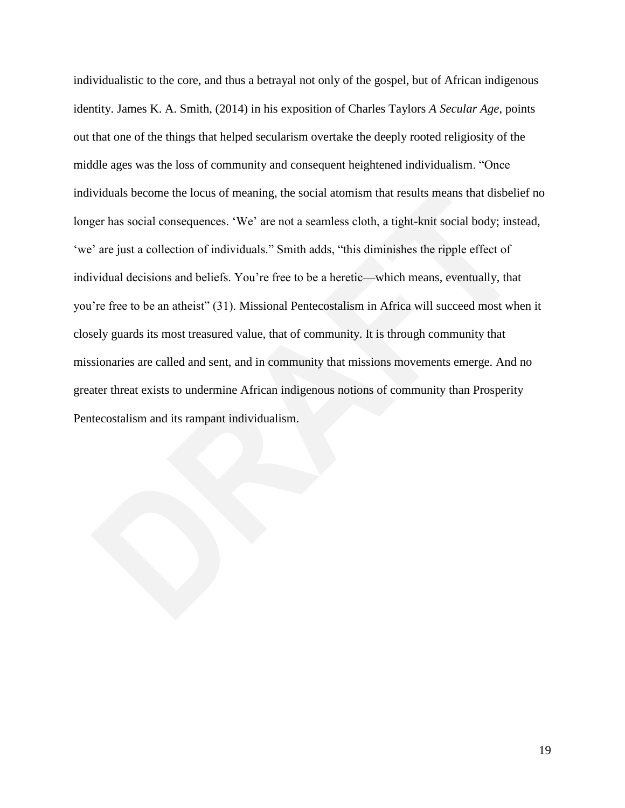individualistic to the core, and thus a betrayal not only of the gospel, but of African indigenous identity. James K. A. Smith, (2014) in his exposition of Charles Taylors *A Secular Age*, points out that one of the things that helped secularism overtake the deeply rooted religiosity of the middle ages was the loss of community and consequent heightened individualism. "Once individuals become the locus of meaning, the social atomism that results means that disbelief no longer has social consequences. 'We' are not a seamless cloth, a tight-knit social body; instead, 'we' are just a collection of individuals." Smith adds, "this diminishes the ripple effect of individual decisions and beliefs. You're free to be a heretic—which means, eventually, that you're free to be an atheist" (31). Missional Pentecostalism in Africa will succeed most when it closely guards its most treasured value, that of community. It is through community that missionaries are called and sent, and in community that missions movements emerge. And no greater threat exists to undermine African indigenous notions of community than Prosperity Pentecostalism and its rampant individualism.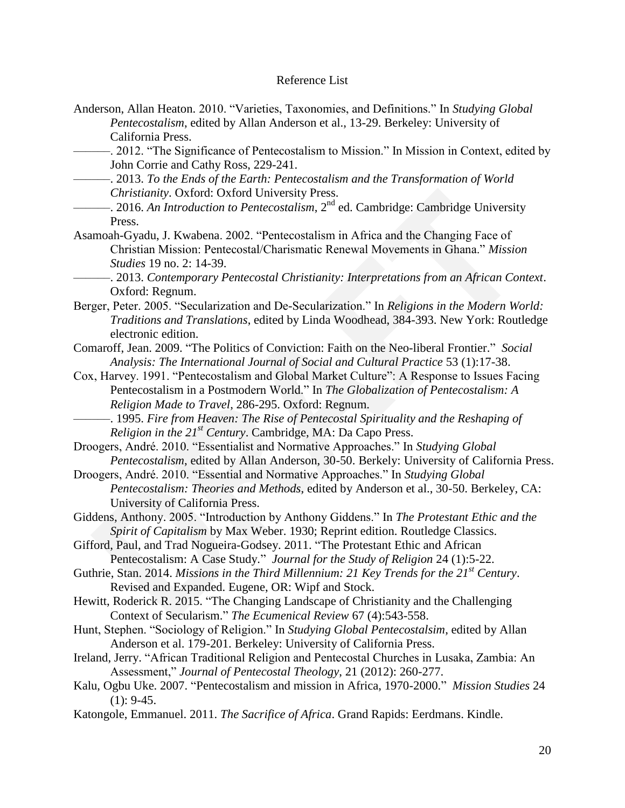## Reference List

- Anderson, Allan Heaton. 2010. "Varieties, Taxonomies, and Definitions." In *Studying Global Pentecostalism*, edited by Allan Anderson et al., 13-29. Berkeley: University of California Press.
- -. 2012. "The Significance of Pentecostalism to Mission." In Mission in Context, edited by John Corrie and Cathy Ross, 229-241.
	- ––––––. 2013. *To the Ends of the Earth: Pentecostalism and the Transformation of World Christianity*. Oxford: Oxford University Press.
- ––––––. 2016. *An Introduction to Pentecostalism*, 2nd ed. Cambridge: Cambridge University Press.
- Asamoah-Gyadu, J. Kwabena. 2002. "Pentecostalism in Africa and the Changing Face of Christian Mission: Pentecostal/Charismatic Renewal Movements in Ghana." Mission *Studies* 19 no. 2: 14-39.
- ––––––. 2013. *Contemporary Pentecostal Christianity: Interpretations from an African Context*. Oxford: Regnum.
- Berger, Peter. 2005. "Secularization and De-Secularization." In *Religions in the Modern World: Traditions and Translations*, edited by Linda Woodhead, 384-393. New York: Routledge electronic edition.
- Comaroff, Jean. 2009. "The Politics of Conviction: Faith on the Neo-liberal Frontier." Social *Analysis: The International Journal of Social and Cultural Practice* 53 (1):17-38.
- Cox, Harvey. 1991. "Pentecostalism and Global Market Culture": A Response to Issues Facing Pentecostalism in a Postmodern World." In *The Globalization of Pentecostalism: A Religion Made to Travel*, 286-295. Oxford: Regnum.
	- ––––––. 1995. *Fire from Heaven: The Rise of Pentecostal Spirituality and the Reshaping of Religion in the 21st Century*. Cambridge, MA: Da Capo Press.

Droogers, André. 2010. "Essentialist and Normative Approaches." In *Studying Global Pentecostalism*, edited by Allan Anderson, 30-50. Berkely: University of California Press.

- Droogers, André. 2010. "Essential and Normative Approaches." In *Studying Global Pentecostalism: Theories and Methods*, edited by Anderson et al., 30-50. Berkeley, CA: University of California Press.
- Giddens, Anthony. 2005. "Introduction by Anthony Giddens." In *The Protestant Ethic and the Spirit of Capitalism* by Max Weber. 1930; Reprint edition. Routledge Classics.
- Gifford, Paul, and Trad Nogueira-Godsey. 2011. "The Protestant Ethic and African Pentecostalism: A Case Study." *Journal for the Study of Religion* 24 (1):5-22.
- Guthrie, Stan. 2014. *Missions in the Third Millennium: 21 Key Trends for the 21st Century*. Revised and Expanded. Eugene, OR: Wipf and Stock.
- Hewitt, Roderick R. 2015. "The Changing Landscape of Christianity and the Challenging Context of Secularism." *The Ecumenical Review* 67 (4):543-558.
- Hunt, Stephen. "Sociology of Religion." In *Studying Global Pentecostalsim*, edited by Allan Anderson et al. 179-201. Berkeley: University of California Press.
- Ireland, Jerry. "African Traditional Religion and Pentecostal Churches in Lusaka, Zambia: An Assessment," *Journal of Pentecostal Theology*, 21 (2012): 260-277.
- Kalu, Ogbu Uke. 2007. "Pentecostalism and mission in Africa, 1970-2000." *Mission Studies* 24  $(1): 9-45.$
- Katongole, Emmanuel. 2011. *The Sacrifice of Africa*. Grand Rapids: Eerdmans. Kindle.